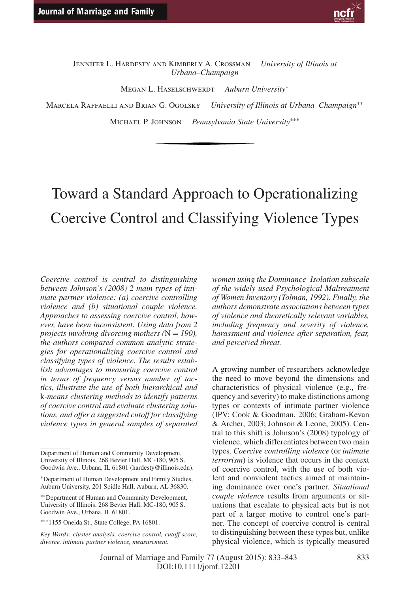

Jennifer L. Hardesty and Kimberly A. Crossman *University of Illinois at Urbana–Champaign*

Megan L. Haselschwerdt *Auburn University*<sup>∗</sup>

Marcela Raffaelli and Brian G. Ogolsky *University of Illinois at Urbana–Champaign*∗∗

Michael P. Johnson *Pennsylvania State University*∗∗∗

# Toward a Standard Approach to Operationalizing Coercive Control and Classifying Violence Types

*Coercive control is central to distinguishing between Johnson's (2008) 2 main types of intimate partner violence: (a) coercive controlling violence and (b) situational couple violence. Approaches to assessing coercive control, however, have been inconsistent. Using data from 2 projects involving divorcing mothers (*N = *190), the authors compared common analytic strategies for operationalizing coercive control and classifying types of violence. The results establish advantages to measuring coercive control in terms of frequency versus number of tactics, illustrate the use of both hierarchical and* k*-means clustering methods to identify patterns of coercive control and evaluate clustering solutions, and offer a suggested cutoff for classifying violence types in general samples of separated*

*women using the Dominance–Isolation subscale of the widely used Psychological Maltreatment of Women Inventory (Tolman, 1992). Finally, the authors demonstrate associations between types of violence and theoretically relevant variables, including frequency and severity of violence, harassment and violence after separation, fear, and perceived threat.*

A growing number of researchers acknowledge the need to move beyond the dimensions and characteristics of physical violence (e.g., frequency and severity) to make distinctions among types or contexts of intimate partner violence (IPV; Cook & Goodman, 2006; Graham-Kevan & Archer, 2003; Johnson & Leone, 2005). Central to this shift is Johnson's (2008) typology of violence, which differentiates between two main types. *Coercive controlling violence* (or *intimate terrorism*) is violence that occurs in the context of coercive control, with the use of both violent and nonviolent tactics aimed at maintaining dominance over one's partner. *Situational couple violence* results from arguments or situations that escalate to physical acts but is not part of a larger motive to control one's partner. The concept of coercive control is central to distinguishing between these types but, unlike physical violence, which is typically measured

Department of Human and Community Development, University of Illinois, 268 Bevier Hall, MC-180, 905 S. Goodwin Ave., Urbana, IL 61801 (hardesty@illinois.edu).

<sup>∗</sup>Department of Human Development and Family Studies, Auburn University, 201 Spidle Hall, Auburn, AL 36830.

<sup>∗∗</sup>Department of Human and Community Development, University of Illinois, 268 Bevier Hall, MC-180, 905 S. Goodwin Ave., Urbana, IL 61801.

<sup>∗∗∗</sup>1155 Oneida St., State College, PA 16801.

*Key Words: cluster analysis, coercive control, cutoff score, divorce, intimate partner violence, measurement.*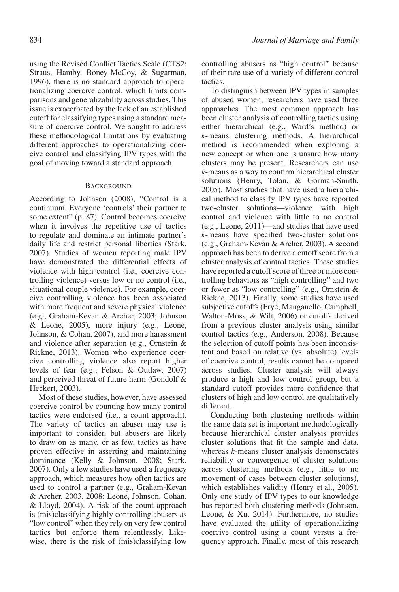using the Revised Conflict Tactics Scale (CTS2; Straus, Hamby, Boney-McCoy, & Sugarman, 1996), there is no standard approach to operationalizing coercive control, which limits comparisons and generalizability across studies. This issue is exacerbated by the lack of an established cutoff for classifying types using a standard measure of coercive control. We sought to address these methodological limitations by evaluating different approaches to operationalizing coercive control and classifying IPV types with the goal of moving toward a standard approach.

# **BACKGROUND**

According to Johnson (2008), "Control is a continuum. Everyone 'controls' their partner to some extent" (p. 87). Control becomes coercive when it involves the repetitive use of tactics to regulate and dominate an intimate partner's daily life and restrict personal liberties (Stark, 2007). Studies of women reporting male IPV have demonstrated the differential effects of violence with high control (i.e., coercive controlling violence) versus low or no control (i.e., situational couple violence). For example, coercive controlling violence has been associated with more frequent and severe physical violence (e.g., Graham-Kevan & Archer, 2003; Johnson & Leone, 2005), more injury (e.g., Leone, Johnson, & Cohan, 2007), and more harassment and violence after separation (e.g., Ornstein & Rickne, 2013). Women who experience coercive controlling violence also report higher levels of fear (e.g., Felson & Outlaw, 2007) and perceived threat of future harm (Gondolf & Heckert, 2003).

Most of these studies, however, have assessed coercive control by counting how many control tactics were endorsed (i.e., a count approach). The variety of tactics an abuser may use is important to consider, but abusers are likely to draw on as many, or as few, tactics as have proven effective in asserting and maintaining dominance (Kelly & Johnson, 2008; Stark, 2007). Only a few studies have used a frequency approach, which measures how often tactics are used to control a partner (e.g., Graham-Kevan & Archer, 2003, 2008; Leone, Johnson, Cohan, & Lloyd, 2004). A risk of the count approach is (mis)classifying highly controlling abusers as "low control" when they rely on very few control tactics but enforce them relentlessly. Likewise, there is the risk of (mis)classifying low controlling abusers as "high control" because of their rare use of a variety of different control tactics.

To distinguish between IPV types in samples of abused women, researchers have used three approaches. The most common approach has been cluster analysis of controlling tactics using either hierarchical (e.g., Ward's method) or *k*-means clustering methods. A hierarchical method is recommended when exploring a new concept or when one is unsure how many clusters may be present. Researchers can use *k*-means as a way to confirm hierarchical cluster solutions (Henry, Tolan, & Gorman-Smith, 2005). Most studies that have used a hierarchical method to classify IPV types have reported two-cluster solutions—violence with high control and violence with little to no control (e.g., Leone, 2011)—and studies that have used *k*-means have specified two-cluster solutions (e.g., Graham-Kevan & Archer, 2003). A second approach has been to derive a cutoff score from a cluster analysis of control tactics. These studies have reported a cutoff score of three or more controlling behaviors as "high controlling" and two or fewer as "low controlling" (e.g., Ornstein & Rickne, 2013). Finally, some studies have used subjective cutoffs (Frye, Manganello, Campbell, Walton-Moss, & Wilt, 2006) or cutoffs derived from a previous cluster analysis using similar control tactics (e.g., Anderson, 2008). Because the selection of cutoff points has been inconsistent and based on relative (vs. absolute) levels of coercive control, results cannot be compared across studies. Cluster analysis will always produce a high and low control group, but a standard cutoff provides more confidence that clusters of high and low control are qualitatively different.

Conducting both clustering methods within the same data set is important methodologically because hierarchical cluster analysis provides cluster solutions that fit the sample and data, whereas *k*-means cluster analysis demonstrates reliability or convergence of cluster solutions across clustering methods (e.g., little to no movement of cases between cluster solutions), which establishes validity (Henry et al., 2005). Only one study of IPV types to our knowledge has reported both clustering methods (Johnson, Leone, & Xu, 2014). Furthermore, no studies have evaluated the utility of operationalizing coercive control using a count versus a frequency approach. Finally, most of this research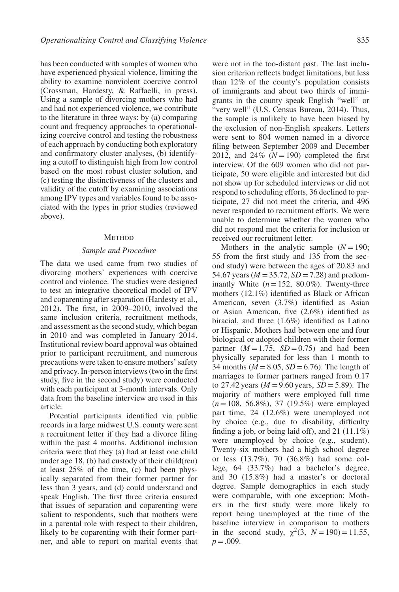has been conducted with samples of women who have experienced physical violence, limiting the ability to examine nonviolent coercive control (Crossman, Hardesty, & Raffaelli, in press). Using a sample of divorcing mothers who had and had not experienced violence, we contribute to the literature in three ways: by (a) comparing count and frequency approaches to operationalizing coercive control and testing the robustness of each approach by conducting both exploratory and confirmatory cluster analyses, (b) identifying a cutoff to distinguish high from low control based on the most robust cluster solution, and (c) testing the distinctiveness of the clusters and validity of the cutoff by examining associations among IPV types and variables found to be associated with the types in prior studies (reviewed above).

## **METHOD**

## *Sample and Procedure*

The data we used came from two studies of divorcing mothers' experiences with coercive control and violence. The studies were designed to test an integrative theoretical model of IPV and coparenting after separation (Hardesty et al., 2012). The first, in 2009–2010, involved the same inclusion criteria, recruitment methods, and assessment as the second study, which began in 2010 and was completed in January 2014. Institutional review board approval was obtained prior to participant recruitment, and numerous precautions were taken to ensure mothers' safety and privacy. In-person interviews (two in the first study, five in the second study) were conducted with each participant at 3-month intervals. Only data from the baseline interview are used in this article.

Potential participants identified via public records in a large midwest U.S. county were sent a recruitment letter if they had a divorce filing within the past 4 months. Additional inclusion criteria were that they (a) had at least one child under age 18, (b) had custody of their child(ren) at least 25% of the time, (c) had been physically separated from their former partner for less than 3 years, and (d) could understand and speak English. The first three criteria ensured that issues of separation and coparenting were salient to respondents, such that mothers were in a parental role with respect to their children, likely to be coparenting with their former partner, and able to report on marital events that

were not in the too-distant past. The last inclusion criterion reflects budget limitations, but less than 12% of the county's population consists of immigrants and about two thirds of immigrants in the county speak English "well" or "very well" (U.S. Census Bureau, 2014). Thus, the sample is unlikely to have been biased by the exclusion of non-English speakers. Letters were sent to 804 women named in a divorce filing between September 2009 and December 2012, and 24%  $(N=190)$  completed the first interview. Of the 609 women who did not participate, 50 were eligible and interested but did not show up for scheduled interviews or did not respond to scheduling efforts, 36 declined to participate, 27 did not meet the criteria, and 496 never responded to recruitment efforts. We were unable to determine whether the women who did not respond met the criteria for inclusion or received our recruitment letter.

Mothers in the analytic sample  $(N = 190)$ ; 55 from the first study and 135 from the second study) were between the ages of 20.83 and 54.67 years ( $M = 35.72$ ,  $SD = 7.28$ ) and predominantly White  $(n=152, 80.0\%)$ . Twenty-three mothers (12.1%) identified as Black or African American, seven (3.7%) identified as Asian or Asian American, five (2.6%) identified as biracial, and three (1.6%) identified as Latino or Hispanic. Mothers had between one and four biological or adopted children with their former partner  $(M = 1.75, SD = 0.75)$  and had been physically separated for less than 1 month to 34 months ( $M = 8.05$ ,  $SD = 6.76$ ). The length of marriages to former partners ranged from 0.17 to 27.42 years ( $M = 9.60$  years,  $SD = 5.89$ ). The majority of mothers were employed full time (*n*=108, 56.8%), 37 (19.5%) were employed part time, 24 (12.6%) were unemployed not by choice (e.g., due to disability, difficulty finding a job, or being laid off), and  $21$  (11.1%) were unemployed by choice (e.g., student). Twenty-six mothers had a high school degree or less (13.7%), 70 (36.8%) had some college, 64 (33.7%) had a bachelor's degree, and 30 (15.8%) had a master's or doctoral degree. Sample demographics in each study were comparable, with one exception: Mothers in the first study were more likely to report being unemployed at the time of the baseline interview in comparison to mothers in the second study,  $\chi^2(3, N = 190) = 11.55$ , *p*=.009.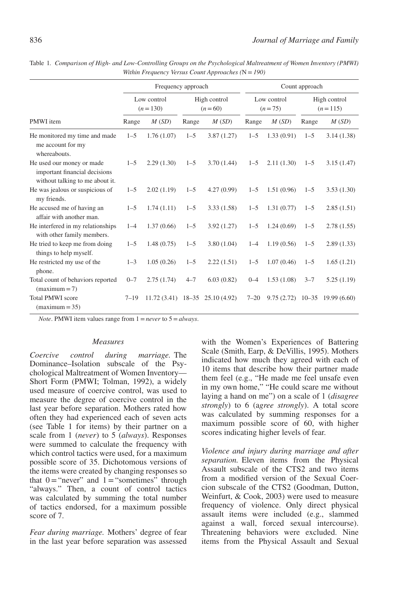|                                                                                               | Frequency approach       |            |                          |                                     | Count approach          |                      |                           |             |  |
|-----------------------------------------------------------------------------------------------|--------------------------|------------|--------------------------|-------------------------------------|-------------------------|----------------------|---------------------------|-------------|--|
|                                                                                               | Low control<br>$(n=130)$ |            | High control<br>$(n=60)$ |                                     | Low control<br>$(n=75)$ |                      | High control<br>$(n=115)$ |             |  |
| PMWI item                                                                                     | Range                    | M(SD)      | Range                    | M(SD)                               | Range                   | M(SD)                | Range                     | M(SD)       |  |
| He monitored my time and made<br>me account for my<br>whereabouts.                            | $1 - 5$                  | 1.76(1.07) | $1 - 5$                  | 3.87(1.27)                          | $1 - 5$                 | 1.33(0.91)           | $1 - 5$                   | 3.14(1.38)  |  |
| He used our money or made<br>important financial decisions<br>without talking to me about it. | $1 - 5$                  | 2.29(1.30) | $1 - 5$                  | 3.70(1.44)                          | $1 - 5$                 | 2.11(1.30)           | $1 - 5$                   | 3.15(1.47)  |  |
| He was jealous or suspicious of<br>my friends.                                                | $1 - 5$                  | 2.02(1.19) | $1 - 5$                  | 4.27(0.99)                          | $1 - 5$                 | 1.51(0.96)           | $1 - 5$                   | 3.53(1.30)  |  |
| He accused me of having an<br>affair with another man.                                        | $1 - 5$                  | 1.74(1.11) | $1 - 5$                  | 3.33(1.58)                          | $1 - 5$                 | 1.31(0.77)           | $1 - 5$                   | 2.85(1.51)  |  |
| He interfered in my relationships<br>with other family members.                               | $1 - 4$                  | 1.37(0.66) | $1 - 5$                  | 3.92(1.27)                          | $1 - 5$                 | 1.24(0.69)           | $1 - 5$                   | 2.78(1.55)  |  |
| He tried to keep me from doing<br>things to help myself.                                      | $1 - 5$                  | 1.48(0.75) | $1 - 5$                  | 3.80(1.04)                          | $1 - 4$                 | 1.19(0.56)           | $1 - 5$                   | 2.89(1.33)  |  |
| He restricted my use of the<br>phone.                                                         | $1 - 3$                  | 1.05(0.26) | $1 - 5$                  | 2.22(1.51)                          | $1 - 5$                 | 1.07(0.46)           | $1 - 5$                   | 1.65(1.21)  |  |
| Total count of behaviors reported<br>$(maximum = 7)$                                          | $0 - 7$                  | 2.75(1.74) | $4 - 7$                  | 6.03(0.82)                          | $0 - 4$                 | 1.53(1.08)           | $3 - 7$                   | 5.25(1.19)  |  |
| <b>Total PMWI</b> score<br>$(maximum = 35)$                                                   | $7 - 19$                 |            |                          | $11.72(3.41)$ $18-35$ $25.10(4.92)$ | $7 - 20$                | $9.75(2.72)$ $10-35$ |                           | 19.99(6.60) |  |

Table 1*. Comparison of High- and Low-Controlling Groups on the Psychological Maltreatment of Women Inventory (PMWI) Within Frequency Versus Count Approaches (N = 190)* 

*Note*. PMWI item values range from 1=*never* to 5=*always*.

## *Measures*

*Coercive control during marriage.* The Dominance–Isolation subscale of the Psychological Maltreatment of Women Inventory— Short Form (PMWI; Tolman, 1992), a widely used measure of coercive control, was used to measure the degree of coercive control in the last year before separation. Mothers rated how often they had experienced each of seven acts (see Table 1 for items) by their partner on a scale from 1 (*never*) to 5 (*always*). Responses were summed to calculate the frequency with which control tactics were used, for a maximum possible score of 35. Dichotomous versions of the items were created by changing responses so that  $0$  = "never" and  $1$  = "sometimes" through "always." Then, a count of control tactics was calculated by summing the total number of tactics endorsed, for a maximum possible score of 7.

*Fear during marriage.* Mothers' degree of fear in the last year before separation was assessed

with the Women's Experiences of Battering Scale (Smith, Earp, & DeVillis, 1995). Mothers indicated how much they agreed with each of 10 items that describe how their partner made them feel (e.g., "He made me feel unsafe even in my own home," "He could scare me without laying a hand on me") on a scale of 1 (*disagree strongly*) to 6 (a*gree strongly*). A total score was calculated by summing responses for a maximum possible score of 60, with higher scores indicating higher levels of fear.

*Violence and injury during marriage and after separation.* Eleven items from the Physical Assault subscale of the CTS2 and two items from a modified version of the Sexual Coercion subscale of the CTS2 (Goodman, Dutton, Weinfurt, & Cook, 2003) were used to measure frequency of violence. Only direct physical assault items were included (e.g., slammed against a wall, forced sexual intercourse). Threatening behaviors were excluded. Nine items from the Physical Assault and Sexual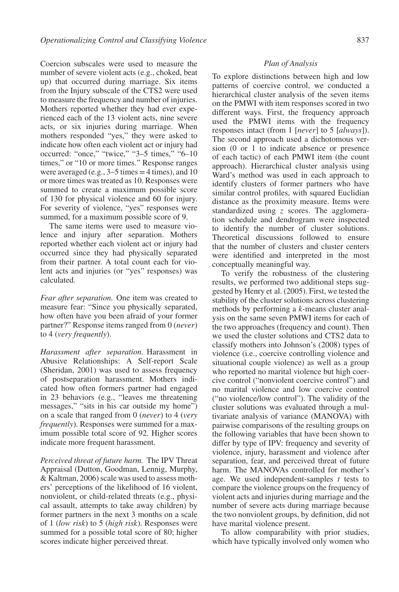Coercion subscales were used to measure the number of severe violent acts (e.g., choked, beat up) that occurred during marriage. Six items from the Injury subscale of the CTS2 were used to measure the frequency and number of injuries. Mothers reported whether they had ever experienced each of the 13 violent acts, nine severe acts, or six injuries during marriage. When mothers responded "yes," they were asked to indicate how often each violent act or injury had occurred: "once," "twice," "3–5 times," "6–10 times," or "10 or more times." Response ranges were averaged (e.g.,  $3-5$  times = 4 times), and 10 or more times was treated as 10. Responses were summed to create a maximum possible score of 130 for physical violence and 60 for injury. For severity of violence, "yes" responses were summed, for a maximum possible score of 9.

The same items were used to measure violence and injury after separation. Mothers reported whether each violent act or injury had occurred since they had physically separated from their partner. A total count each for violent acts and injuries (or "yes" responses) was calculated.

*Fear after separation.* One item was created to measure fear: "Since you physically separated, how often have you been afraid of your former partner?" Response items ranged from 0 (*never*) to 4 (*very frequently*).

*Harassment after separation.* Harassment in Abusive Relationships: A Self-report Scale (Sheridan, 2001) was used to assess frequency of postseparation harassment. Mothers indicated how often formers partner had engaged in 23 behaviors (e.g., "leaves me threatening messages," "sits in his car outside my home") on a scale that ranged from 0 (*never*) to 4 (*very frequently*). Responses were summed for a maximum possible total score of 92. Higher scores indicate more frequent harassment.

*Perceived threat of future harm.* The IPV Threat Appraisal (Dutton, Goodman, Lennig, Murphy, & Kaltman, 2006) scale was used to assess mothers' perceptions of the likelihood of 16 violent, nonviolent, or child-related threats (e.g., physical assault, attempts to take away children) by former partners in the next 3 months on a scale of 1 (*low risk*) to 5 (*high risk*). Responses were summed for a possible total score of 80; higher scores indicate higher perceived threat.

## *Plan of Analysis*

To explore distinctions between high and low patterns of coercive control, we conducted a hierarchical cluster analysis of the seven items on the PMWI with item responses scored in two different ways. First, the frequency approach used the PMWI items with the frequency responses intact (from 1 [*never*] to 5 [*always*]). The second approach used a dichotomous version (0 or 1 to indicate absence or presence of each tactic) of each PMWI item (the count approach). Hierarchical cluster analysis using Ward's method was used in each approach to identify clusters of former partners who have similar control profiles, with squared Euclidian distance as the proximity measure. Items were standardized using *z* scores. The agglomeration schedule and dendrogram were inspected to identify the number of cluster solutions. Theoretical discussions followed to ensure that the number of clusters and cluster centers were identified and interpreted in the most conceptually meaningful way.

To verify the robustness of the clustering results, we performed two additional steps suggested by Henry et al. (2005). First, we tested the stability of the cluster solutions across clustering methods by performing a *k*-means cluster analysis on the same seven PMWI items for each of the two approaches (frequency and count). Then we used the cluster solutions and CTS2 data to classify mothers into Johnson's (2008) types of violence (i.e., coercive controlling violence and situational couple violence) as well as a group who reported no marital violence but high coercive control ("nonviolent coercive control") and no marital violence and low coercive control ("no violence/low control"). The validity of the cluster solutions was evaluated through a multivariate analysis of variance (MANOVA) with pairwise comparisons of the resulting groups on the following variables that have been shown to differ by type of IPV: frequency and severity of violence, injury, harassment and violence after separation, fear, and perceived threat of future harm. The MANOVAs controlled for mother's age. We used independent-samples *t* tests to compare the violence groups on the frequency of violent acts and injuries during marriage and the number of severe acts during marriage because the two nonviolent groups, by definition, did not have marital violence present.

To allow comparability with prior studies, which have typically involved only women who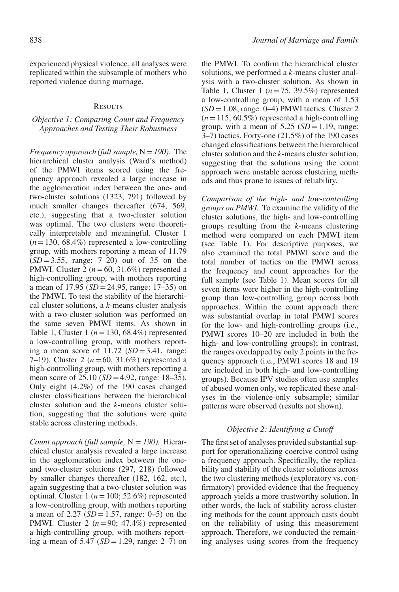experienced physical violence, all analyses were replicated within the subsample of mothers who reported violence during marriage.

#### **RESULTS**

# *Objective 1: Comparing Count and Frequency Approaches and Testing Their Robustness*

*Frequency approach (full sample,*  $N = 190$ ). The hierarchical cluster analysis (Ward's method) of the PMWI items scored using the frequency approach revealed a large increase in the agglomeration index between the one- and two-cluster solutions (1323, 791) followed by much smaller changes thereafter (674, 569, etc.), suggesting that a two-cluster solution was optimal. The two clusters were theoretically interpretable and meaningful. Cluster 1  $(n=130, 68.4\%)$  represented a low-controlling group, with mothers reporting a mean of 11.79 (*SD* =3.55, range: 7–20) out of 35 on the PMWI. Cluster 2  $(n=60, 31.6\%)$  represented a high-controlling group, with mothers reporting a mean of 17.95 (*SD* =24.95, range: 17–35) on the PMWI. To test the stability of the hierarchical cluster solutions, a *k*-means cluster analysis with a two-cluster solution was performed on the same seven PMWI items. As shown in Table 1, Cluster 1 (*n*=130, 68.4%) represented a low-controlling group, with mothers reporting a mean score of  $11.72$  (*SD* = 3.41, range: 7–19). Cluster 2 ( $n = 60, 31.6\%$ ) represented a high-controlling group, with mothers reporting a mean score of 25.10 (*SD* =4.92, range: 18–35). Only eight (4.2%) of the 190 cases changed cluster classifications between the hierarchical cluster solution and the *k*-means cluster solution, suggesting that the solutions were quite stable across clustering methods.

*Count approach (full sample, N = 190). Hierar*chical cluster analysis revealed a large increase in the agglomeration index between the oneand two-cluster solutions (297, 218) followed by smaller changes thereafter (182, 162, etc.), again suggesting that a two-cluster solution was optimal. Cluster 1 (*n*=100; 52.6%) represented a low-controlling group, with mothers reporting a mean of  $2.27$  (*SD* = 1.57, range: 0–5) on the PMWI. Cluster 2 (*n*=90; 47.4%) represented a high-controlling group, with mothers reporting a mean of 5.47 (*SD* =1.29, range: 2–7) on the PMWI. To confirm the hierarchical cluster solutions, we performed a *k*-means cluster analysis with a two-cluster solution. As shown in Table 1, Cluster 1 ( $n = 75$ , 39.5%) represented a low-controlling group, with a mean of 1.53  $(SD = 1.08$ , range: 0–4) PMWI tactics. Cluster 2  $(n=115, 60.5\%)$  represented a high-controlling group, with a mean of  $5.25$  ( $SD = 1.19$ , range:  $3-7$ ) tactics. Forty-one  $(21.5\%)$  of the 190 cases changed classifications between the hierarchical cluster solution and the *k*-means cluster solution, suggesting that the solutions using the count approach were unstable across clustering methods and thus prone to issues of reliability.

*Comparison of the high- and low-controlling groups on PMWI.* To examine the validity of the cluster solutions, the high- and low-controlling groups resulting from the *k*-means clustering method were compared on each PMWI item (see Table 1). For descriptive purposes, we also examined the total PMWI score and the total number of tactics on the PMWI across the frequency and count approaches for the full sample (see Table 1). Mean scores for all seven items were higher in the high-controlling group than low-controlling group across both approaches. Within the count approach there was substantial overlap in total PMWI scores for the low- and high-controlling groups (i.e., PMWI scores 10–20 are included in both the high- and low-controlling groups); in contrast, the ranges overlapped by only 2 points in the frequency approach (i.e., PMWI scores 18 and 19 are included in both high- and low-controlling groups). Because IPV studies often use samples of abused women only, we replicated these analyses in the violence-only subsample; similar patterns were observed (results not shown).

## *Objective 2: Identifying a Cutoff*

The first set of analyses provided substantial support for operationalizing coercive control using a frequency approach. Specifically, the replicability and stability of the cluster solutions across the two clustering methods (exploratory vs. confirmatory) provided evidence that the frequency approach yields a more trustworthy solution. In other words, the lack of stability across clustering methods for the count approach casts doubt on the reliability of using this measurement approach. Therefore, we conducted the remaining analyses using scores from the frequency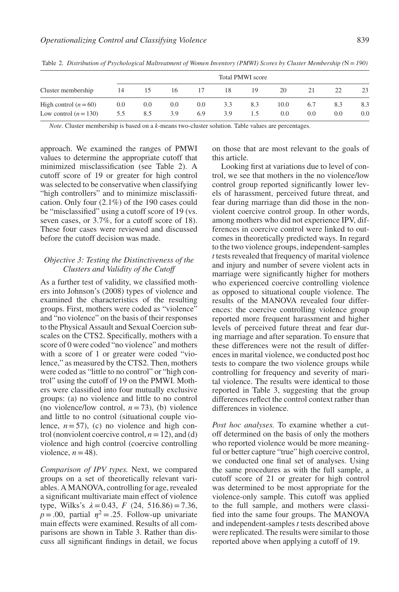| Cluster membership      | <b>Total PMWI</b> score |     |     |     |               |     |      |     |     |     |
|-------------------------|-------------------------|-----|-----|-----|---------------|-----|------|-----|-----|-----|
|                         | 14                      | 15  | 16  | 17  | 18            | 19  | 20   |     | 22  | 23  |
| High control $(n=60)$   | 0.0                     | 0.0 | 0.0 | 0.0 | $3.3^{\circ}$ | 8.3 | 10.0 | 6.7 | 8.3 | 8.3 |
| Low control $(n = 130)$ | 5.5                     | 8.5 | 3.9 | 6.9 | 3.9           | 1.5 | 0.0  | 0.0 | 0.0 | 0.0 |

Table 2. Distribution of Psychological Maltreatment of Women Inventory (PMWI) Scores by Cluster Membership (N = 190)

*Note*. Cluster membership is based on a *k*-means two-cluster solution. Table values are percentages.

approach. We examined the ranges of PMWI values to determine the appropriate cutoff that minimized misclassification (see Table 2). A cutoff score of 19 or greater for high control was selected to be conservative when classifying "high controllers" and to minimize misclassification. Only four (2.1%) of the 190 cases could be "misclassified" using a cutoff score of 19 (vs. seven cases, or 3.7%, for a cutoff score of 18). These four cases were reviewed and discussed before the cutoff decision was made.

## *Objective 3: Testing the Distinctiveness of the Clusters and Validity of the Cutoff*

As a further test of validity, we classified mothers into Johnson's (2008) types of violence and examined the characteristics of the resulting groups. First, mothers were coded as "violence" and "no violence" on the basis of their responses to the Physical Assault and Sexual Coercion subscales on the CTS2. Specifically, mothers with a score of 0 were coded "no violence" and mothers with a score of 1 or greater were coded "violence," as measured by the CTS2. Then, mothers were coded as "little to no control" or "high control" using the cutoff of 19 on the PMWI. Mothers were classified into four mutually exclusive groups: (a) no violence and little to no control (no violence/low control, *n*=73), (b) violence and little to no control (situational couple violence,  $n = 57$ ), (c) no violence and high control (nonviolent coercive control,  $n = 12$ ), and (d) violence and high control (coercive controlling violence,  $n = 48$ ).

*Comparison of IPV types.* Next, we compared groups on a set of theoretically relevant variables. A MANOVA, controlling for age, revealed a significant multivariate main effect of violence type, Wilks's  $\lambda = 0.43$ , *F* (24, 516.86) = 7.36,  $p = .00$ , partial  $\eta^2 = .25$ . Follow-up univariate main effects were examined. Results of all comparisons are shown in Table 3. Rather than discuss all significant findings in detail, we focus

on those that are most relevant to the goals of this article.

Looking first at variations due to level of control, we see that mothers in the no violence/low control group reported significantly lower levels of harassment, perceived future threat, and fear during marriage than did those in the nonviolent coercive control group. In other words, among mothers who did not experience IPV, differences in coercive control were linked to outcomes in theoretically predicted ways. In regard to the two violence groups, independent-samples *t* tests revealed that frequency of marital violence and injury and number of severe violent acts in marriage were significantly higher for mothers who experienced coercive controlling violence as opposed to situational couple violence. The results of the MANOVA revealed four differences: the coercive controlling violence group reported more frequent harassment and higher levels of perceived future threat and fear during marriage and after separation. To ensure that these differences were not the result of differences in marital violence, we conducted post hoc tests to compare the two violence groups while controlling for frequency and severity of marital violence. The results were identical to those reported in Table 3, suggesting that the group differences reflect the control context rather than differences in violence.

*Post hoc analyses.* To examine whether a cutoff determined on the basis of only the mothers who reported violence would be more meaningful or better capture "true" high coercive control, we conducted one final set of analyses. Using the same procedures as with the full sample, a cutoff score of 21 or greater for high control was determined to be most appropriate for the violence-only sample. This cutoff was applied to the full sample, and mothers were classified into the same four groups. The MANOVA and independent-samples *t* tests described above were replicated. The results were similar to those reported above when applying a cutoff of 19.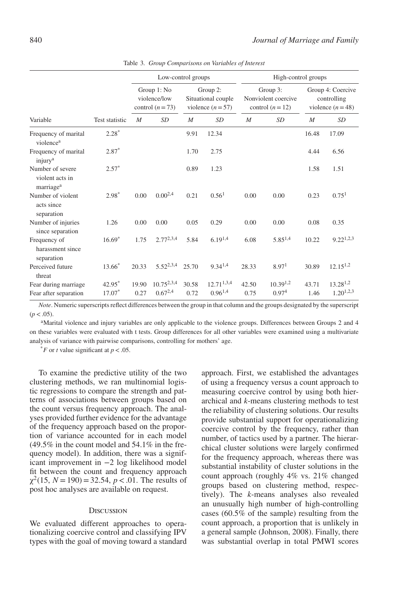|                                                              |                    | Low-control groups                              |                                 |                                                     |                                 | High-control groups                                 |                                    |                                                       |                                 |
|--------------------------------------------------------------|--------------------|-------------------------------------------------|---------------------------------|-----------------------------------------------------|---------------------------------|-----------------------------------------------------|------------------------------------|-------------------------------------------------------|---------------------------------|
|                                                              |                    | Group 1: No<br>violence/low<br>control $(n=73)$ |                                 | Group 2:<br>Situational couple<br>violence $(n=57)$ |                                 | Group 3:<br>Nonviolent coercive<br>control $(n=12)$ |                                    | Group 4: Coercive<br>controlling<br>violence $(n=48)$ |                                 |
| Variable                                                     | Test statistic     | M                                               | <b>SD</b>                       | $\boldsymbol{M}$                                    | SD                              | $\boldsymbol{M}$                                    | SD                                 | $\boldsymbol{M}$                                      | <i>SD</i>                       |
| Frequency of marital<br>violence <sup>a</sup>                | $2.28*$            |                                                 |                                 | 9.91                                                | 12.34                           |                                                     |                                    | 16.48                                                 | 17.09                           |
| Frequency of marital<br>injury <sup>a</sup>                  | $2.87*$            |                                                 |                                 | 1.70                                                | 2.75                            |                                                     |                                    | 4.44                                                  | 6.56                            |
| Number of severe<br>violent acts in<br>marriage <sup>a</sup> | $2.57*$            |                                                 |                                 | 0.89                                                | 1.23                            |                                                     |                                    | 1.58                                                  | 1.51                            |
| Number of violent<br>acts since<br>separation                | $2.98*$            | 0.00                                            | $0.00^{2,4}$                    | 0.21                                                | 0.56 <sup>1</sup>               | 0.00                                                | 0.00                               | 0.23                                                  | 0.75 <sup>1</sup>               |
| Number of injuries<br>since separation                       | 1.26               | 0.00                                            | 0.00                            | 0.05                                                | 0.29                            | 0.00                                                | 0.00                               | 0.08                                                  | 0.35                            |
| Frequency of<br>harassment since<br>separation               | $16.69*$           | 1.75                                            | $2.77^{2,3,4}$                  | 5.84                                                | $6.19^{1,4}$                    | 6.08                                                | $5.85^{1,4}$                       | 10.22                                                 | $9.22^{1,2,3}$                  |
| Perceived future<br>threat                                   | 13.66*             | 20.33                                           | $5.52^{2,3,4}$                  | 25.70                                               | $9.34^{1,4}$                    | 28.33                                               | 8.97 <sup>1</sup>                  | 30.89                                                 | $12.15^{1,2}$                   |
| Fear during marriage<br>Fear after separation                | 42.95*<br>$17.07*$ | 19.90<br>0.27                                   | $10.75^{2,3,4}$<br>$0.67^{2,4}$ | 30.58<br>0.72                                       | $12.71^{1,3,4}$<br>$0.96^{1,4}$ | 42.50<br>0.75                                       | $10.39^{1,2}$<br>0.97 <sup>4</sup> | 43.71<br>1.46                                         | $13.28^{1,2}$<br>$1.20^{1,2,3}$ |

Table 3*. Group Comparisons on Variables of Interest*

*Note*. Numeric superscripts reflect differences between the group in that column and the groups designated by the superscript  $(p < .05)$ .

<sup>a</sup>Marital violence and injury variables are only applicable to the violence groups. Differences between Groups 2 and 4 on these variables were evaluated with t tests. Group differences for all other variables were examined using a multivariate analysis of variance with pairwise comparisons, controlling for mothers' age.

 $*$ *F* or *t* value significant at  $p < .05$ .

To examine the predictive utility of the two clustering methods, we ran multinomial logistic regressions to compare the strength and patterns of associations between groups based on the count versus frequency approach. The analyses provided further evidence for the advantage of the frequency approach based on the proportion of variance accounted for in each model (49.5% in the count model and 54.1% in the frequency model). In addition, there was a significant improvement in −2 log likelihood model fit between the count and frequency approach  $\chi^2(15, N=190) = 32.54, p < .01$ . The results of post hoc analyses are available on request.

## **DISCUSSION**

We evaluated different approaches to operationalizing coercive control and classifying IPV types with the goal of moving toward a standard

approach. First, we established the advantages of using a frequency versus a count approach to measuring coercive control by using both hierarchical and *k*-means clustering methods to test the reliability of clustering solutions. Our results provide substantial support for operationalizing coercive control by the frequency, rather than number, of tactics used by a partner. The hierarchical cluster solutions were largely confirmed for the frequency approach, whereas there was substantial instability of cluster solutions in the count approach (roughly 4% vs. 21% changed groups based on clustering method, respectively). The *k*-means analyses also revealed an unusually high number of high-controlling cases (60.5% of the sample) resulting from the count approach, a proportion that is unlikely in a general sample (Johnson, 2008). Finally, there was substantial overlap in total PMWI scores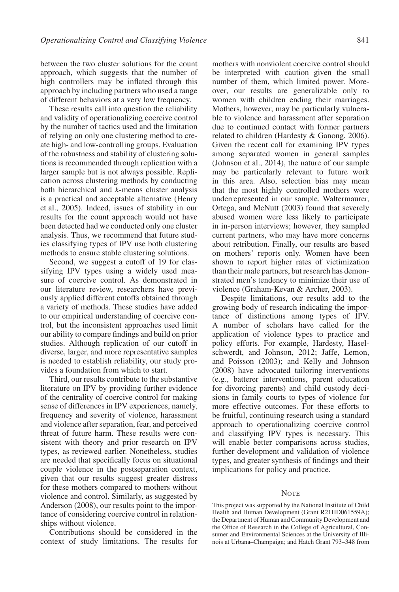between the two cluster solutions for the count approach, which suggests that the number of high controllers may be inflated through this approach by including partners who used a range of different behaviors at a very low frequency.

These results call into question the reliability and validity of operationalizing coercive control by the number of tactics used and the limitation of relying on only one clustering method to create high- and low-controlling groups. Evaluation of the robustness and stability of clustering solutions is recommended through replication with a larger sample but is not always possible. Replication across clustering methods by conducting both hierarchical and *k*-means cluster analysis is a practical and acceptable alternative (Henry et al., 2005). Indeed, issues of stability in our results for the count approach would not have been detected had we conducted only one cluster analysis. Thus, we recommend that future studies classifying types of IPV use both clustering methods to ensure stable clustering solutions.

Second, we suggest a cutoff of 19 for classifying IPV types using a widely used measure of coercive control. As demonstrated in our literature review, researchers have previously applied different cutoffs obtained through a variety of methods. These studies have added to our empirical understanding of coercive control, but the inconsistent approaches used limit our ability to compare findings and build on prior studies. Although replication of our cutoff in diverse, larger, and more representative samples is needed to establish reliability, our study provides a foundation from which to start.

Third, our results contribute to the substantive literature on IPV by providing further evidence of the centrality of coercive control for making sense of differences in IPV experiences, namely, frequency and severity of violence, harassment and violence after separation, fear, and perceived threat of future harm. These results were consistent with theory and prior research on IPV types, as reviewed earlier. Nonetheless, studies are needed that specifically focus on situational couple violence in the postseparation context, given that our results suggest greater distress for these mothers compared to mothers without violence and control. Similarly, as suggested by Anderson (2008), our results point to the importance of considering coercive control in relationships without violence.

Contributions should be considered in the context of study limitations. The results for mothers with nonviolent coercive control should be interpreted with caution given the small number of them, which limited power. Moreover, our results are generalizable only to women with children ending their marriages. Mothers, however, may be particularly vulnerable to violence and harassment after separation due to continued contact with former partners related to children (Hardesty & Ganong, 2006). Given the recent call for examining IPV types among separated women in general samples (Johnson et al., 2014), the nature of our sample may be particularly relevant to future work in this area. Also, selection bias may mean that the most highly controlled mothers were underrepresented in our sample. Waltermaurer, Ortega, and McNutt (2003) found that severely abused women were less likely to participate in in-person interviews; however, they sampled current partners, who may have more concerns about retribution. Finally, our results are based on mothers' reports only. Women have been shown to report higher rates of victimization than their male partners, but research has demonstrated men's tendency to minimize their use of violence (Graham-Kevan & Archer, 2003).

Despite limitations, our results add to the growing body of research indicating the importance of distinctions among types of IPV. A number of scholars have called for the application of violence types to practice and policy efforts. For example, Hardesty, Haselschwerdt, and Johnson, 2012; Jaffe, Lemon, and Poisson (2003); and Kelly and Johnson (2008) have advocated tailoring interventions (e.g., batterer interventions, parent education for divorcing parents) and child custody decisions in family courts to types of violence for more effective outcomes. For these efforts to be fruitful, continuing research using a standard approach to operationalizing coercive control and classifying IPV types is necessary. This will enable better comparisons across studies, further development and validation of violence types, and greater synthesis of findings and their implications for policy and practice.

#### **NOTE**

This project was supported by the National Institute of Child Health and Human Development (Grant R21HD061559A); the Department of Human and Community Development and the Office of Research in the College of Agricultural, Consumer and Environmental Sciences at the University of Illinois at Urbana–Champaign; and Hatch Grant 793–348 from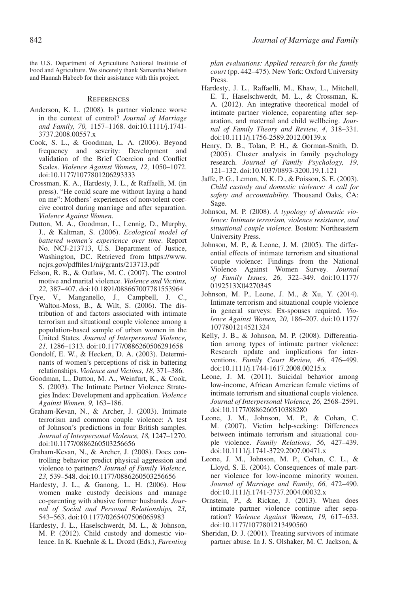the U.S. Department of Agriculture National Institute of Food and Agriculture. We sincerely thank Samantha Nielsen and Hannah Habeeb for their assistance with this project.

#### **REFERENCES**

- Anderson, K. L. (2008). Is partner violence worse in the context of control? *Journal of Marriage and Family, 70,* 1157–1168. doi:10.1111/j.1741- 3737.2008.00557.x
- Cook, S. L., & Goodman, L. A. (2006). Beyond frequency and severity: Development and validation of the Brief Coercion and Conflict Scales. *Violence Against Women, 12,* 1050–1072. doi:10.1177/1077801206293333
- Crossman, K. A., Hardesty, J. L., & Raffaelli, M. (in press). "He could scare me without laying a hand on me": Mothers' experiences of nonviolent coercive control during marriage and after separation. *Violence Against Women*.
- Dutton, M. A., Goodman, L., Lennig, D., Murphy, J., & Kaltman, S. (2006). *Ecological model of battered women's experience over time*. Report No. NCJ-213713, U.S. Department of Justice, Washington, DC. Retrieved from https://www. ncjrs.gov/pdffiles1/nij/grants/213713.pdf
- Felson, R. B., & Outlaw, M. C. (2007). The control motive and marital violence. *Violence and Victims, 22,* 387–407. doi:10.1891/088667007781553964
- Frye, V., Manganello, J., Campbell, J. C., Walton-Moss, B., & Wilt, S. (2006). The distribution of and factors associated with intimate terrorism and situational couple violence among a population-based sample of urban women in the United States. *Journal of Interpersonal Violence, 21,* 1286–1313. doi:10.1177/0886260506291658
- Gondolf, E. W., & Heckert, D. A. (2003). Determinants of women's perceptions of risk in battering relationships. *Violence and Victims*, *18,* 371–386.
- Goodman, L., Dutton, M. A., Weinfurt, K., & Cook, S. (2003). The Intimate Partner Violence Strategies Index: Development and application. *Violence Against Women, 9,* 163–186.
- Graham-Kevan, N., & Archer, J. (2003). Intimate terrorism and common couple violence: A test of Johnson's predictions in four British samples. *Journal of Interpersonal Violence, 18,* 1247–1270. doi:10.1177/0886260503256656
- Graham-Kevan, N., & Archer, J. (2008). Does controlling behavior predict physical aggression and violence to partners? *Journal of Family Violence, 23,* 539–548. doi:10.1177/0886260503256656
- Hardesty, J. L., & Ganong, L. H. (2006). How women make custody decisions and manage co-parenting with abusive former husbands. *Journal of Social and Personal Relationships, 23,* 543–563. doi:10.1177/0265407506065983
- Hardesty, J. L., Haselschwerdt, M. L., & Johnson, M. P. (2012). Child custody and domestic violence. In K. Kuehnle & L. Drozd (Eds.), *Parenting*

*plan evaluations: Applied research for the family court* (pp. 442–475). New York: Oxford University Press.

- Hardesty, J. L., Raffaelli, M., Khaw, L., Mitchell, E. T., Haselschwerdt, M. L., & Crossman, K. A. (2012). An integrative theoretical model of intimate partner violence, coparenting after separation, and maternal and child wellbeing. *Journal of Family Theory and Review, 4*, 318–331. doi:10.1111/j.1756-2589.2012.00139.x
- Henry, D. B., Tolan, P. H., & Gorman-Smith, D. (2005). Cluster analysis in family psychology research. *Journal of Family Psychology, 19,* 121–132. doi:10.1037/0893-3200.19.1.121
- Jaffe, P. G., Lemon, N. K. D., & Poisson, S. E. (2003). *Child custody and domestic violence: A call for safety and accountability*. Thousand Oaks, CA: Sage.
- Johnson, M. P. (2008). *A typology of domestic violence: Intimate terrorism, violence resistance, and situational couple violence*. Boston: Northeastern University Press.
- Johnson, M. P., & Leone, J. M. (2005). The differential effects of intimate terrorism and situational couple violence: Findings from the National Violence Against Women Survey. *Journal of Family Issues, 26,* 322–349. doi:10.1177/ 0192513X04270345
- Johnson, M. P., Leone, J. M., & Xu, Y. (2014). Intimate terrorism and situational couple violence in general surveys: Ex-spouses required. *Violence Against Women, 20,* 186–207. doi:10.1177/ 1077801214521324
- Kelly, J. B., & Johnson, M. P. (2008). Differentiation among types of intimate partner violence: Research update and implications for interventions. *Family Court Review, 46,* 476–499. doi:10.1111/j.1744-1617.2008.00215.x
- Leone, J. M. (2011). Suicidal behavior among low-income, African American female victims of intimate terrorism and situational couple violence. *Journal of Interpersonal Violence, 26,* 2568–2591. doi:10.1177/0886260510388280
- Leone, J. M., Johnson, M. P., & Cohan, C. M. (2007). Victim help-seeking: Differences between intimate terrorism and situational couple violence. *Family Relations, 56,* 427–439. doi:10.1111/j.1741-3729.2007.00471.x
- Leone, J. M., Johnson, M. P., Cohan, C. L., & Lloyd, S. E. (2004). Consequences of male partner violence for low-income minority women. *Journal of Marriage and Family, 66,* 472–490. doi:10.1111/j.1741-3737.2004.00032.x
- Ornstein, P., & Rickne, J. (2013). When does intimate partner violence continue after separation? *Violence Against Women, 19,* 617–633. doi:10.1177/1077801213490560
- Sheridan, D. J. (2001). Treating survivors of intimate partner abuse. In J. S. Olshaker, M. C. Jackson, &